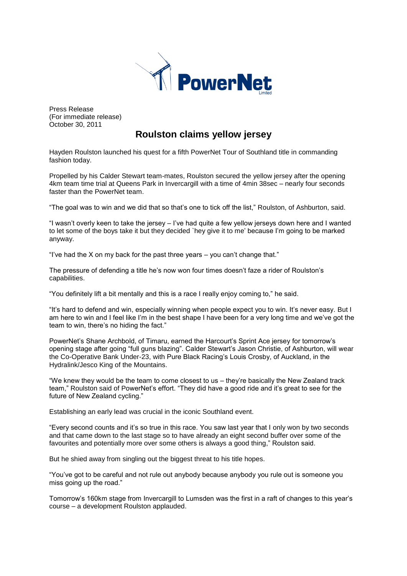

Press Release (For immediate release) October 30, 2011

## **Roulston claims yellow jersey**

Hayden Roulston launched his quest for a fifth PowerNet Tour of Southland title in commanding fashion today.

Propelled by his Calder Stewart team-mates, Roulston secured the yellow jersey after the opening 4km team time trial at Queens Park in Invercargill with a time of 4min 38sec – nearly four seconds faster than the PowerNet team.

"The goal was to win and we did that so that's one to tick off the list," Roulston, of Ashburton, said.

"I wasn't overly keen to take the jersey – I've had quite a few yellow jerseys down here and I wanted to let some of the boys take it but they decided `hey give it to me' because I'm going to be marked anyway.

"I've had the X on my back for the past three years  $-$  you can't change that."

The pressure of defending a title he's now won four times doesn't faze a rider of Roulston's capabilities.

"You definitely lift a bit mentally and this is a race I really enjoy coming to," he said.

"It's hard to defend and win, especially winning when people expect you to win. It's never easy. But I am here to win and I feel like I'm in the best shape I have been for a very long time and we've got the team to win, there's no hiding the fact."

PowerNet's Shane Archbold, of Timaru, earned the Harcourt's Sprint Ace jersey for tomorrow's opening stage after going "full guns blazing". Calder Stewart's Jason Christie, of Ashburton, will wear the Co-Operative Bank Under-23, with Pure Black Racing's Louis Crosby, of Auckland, in the Hydralink/Jesco King of the Mountains.

"We knew they would be the team to come closest to us – they're basically the New Zealand track team," Roulston said of PowerNet's effort. "They did have a good ride and it's great to see for the future of New Zealand cycling."

Establishing an early lead was crucial in the iconic Southland event.

"Every second counts and it's so true in this race. You saw last year that I only won by two seconds and that came down to the last stage so to have already an eight second buffer over some of the favourites and potentially more over some others is always a good thing," Roulston said.

But he shied away from singling out the biggest threat to his title hopes.

"You've got to be careful and not rule out anybody because anybody you rule out is someone you miss going up the road."

Tomorrow's 160km stage from Invercargill to Lumsden was the first in a raft of changes to this year's course – a development Roulston applauded.